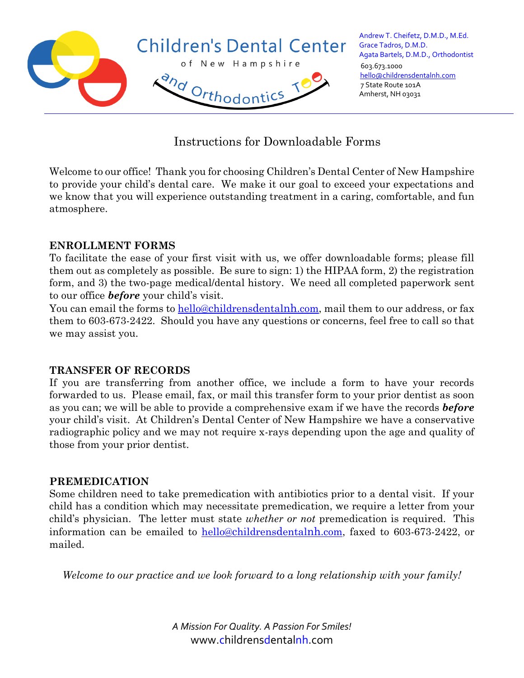

Instructions for Downloadable Forms

Welcome to our office! Thank you for choosing Children's Dental Center of New Hampshire to provide your child's dental care. We make it our goal to exceed your expectations and we know that you will experience outstanding treatment in a caring, comfortable, and fun atmosphere.

### **ENROLLMENT FORMS**

To facilitate the ease of your first visit with us, we offer downloadable forms; please fill them out as completely as possible. Be sure to sign: 1) the HIPAA form, 2) the registration form, and 3) the two-page medical/dental history. We need all completed paperwork sent to our office *before* your child's visit.

You can email the forms to hello@c[hildrens](mailto:hello@childrensdentalnh.com)dentalnh.com, mail them to our address, or fax them to 603-673-2422. Should you have any questions or concerns, feel free to call so that we may assist you.

#### **TRANSFER OF RECORDS**

If you are transferring from another office, we include a form to have your records forwarded to us. Please email, fax, or mail this transfer form to your prior dentist as soon as you can; we will be able to provide a comprehensive exam if we have the records *before* your child's visit. At Children's Dental Center of New Hampshire we have a conservative radiographic policy and we may not require x-rays depending upon the age and quality of those from your prior dentist.

#### **PREMEDICATION**

Some children need to take premedication with antibiotics prior to a dental visit. If your child has a condition which may necessitate premedication, we require a letter from your child's physician. The letter must state *whether or not* premedication is required. This information can be emailed to hello@c[hildrens](mailto:hello@childrensdentalnh.com)dentalnh.com, faxed to 603-673-2422, or mailed.

*Welcome to our practice and we look forward to a long relationship with your family!*

*A Mission For Quality. A Passion For Smiles!* www.childrensdentalnh.com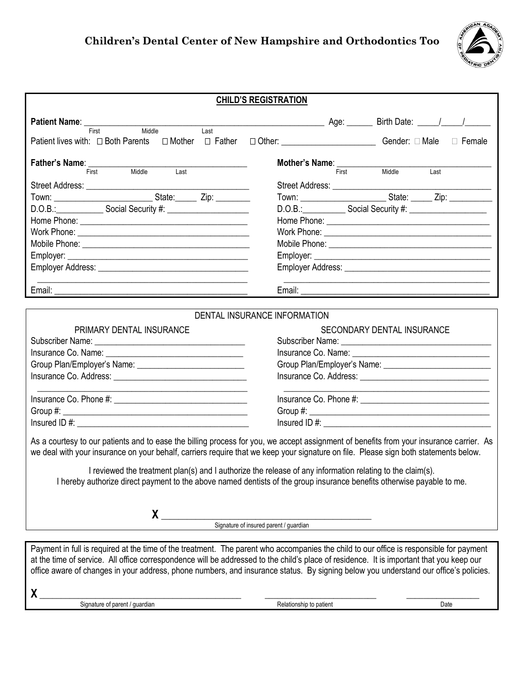## **Children's Dental Center of New Hampshire and Orthodontics Too**



|                                                                                                  | <b>CHILD'S REGISTRATION</b>                                                                                                                                                                                                                                                                                                                                                                                                                                                                                            |  |  |  |
|--------------------------------------------------------------------------------------------------|------------------------------------------------------------------------------------------------------------------------------------------------------------------------------------------------------------------------------------------------------------------------------------------------------------------------------------------------------------------------------------------------------------------------------------------------------------------------------------------------------------------------|--|--|--|
|                                                                                                  |                                                                                                                                                                                                                                                                                                                                                                                                                                                                                                                        |  |  |  |
| Patient Name: First<br>Middle<br>$\overline{\mathsf{Last}}$                                      |                                                                                                                                                                                                                                                                                                                                                                                                                                                                                                                        |  |  |  |
| Patient lives with: □ Both Parents □ Mother □ Father □ Other: ___________________ Gender: □ Male | $\Box$ Female                                                                                                                                                                                                                                                                                                                                                                                                                                                                                                          |  |  |  |
| Father's Name: ____________                                                                      | <b>Mother's Name:</b><br>First                                                                                                                                                                                                                                                                                                                                                                                                                                                                                         |  |  |  |
| Middle<br>First <b>First</b><br>Last                                                             | Middle<br>Last                                                                                                                                                                                                                                                                                                                                                                                                                                                                                                         |  |  |  |
|                                                                                                  |                                                                                                                                                                                                                                                                                                                                                                                                                                                                                                                        |  |  |  |
|                                                                                                  |                                                                                                                                                                                                                                                                                                                                                                                                                                                                                                                        |  |  |  |
|                                                                                                  | D.O.B.: Social Security #: 10.0.B.: 10.0.B.: Social Security #:                                                                                                                                                                                                                                                                                                                                                                                                                                                        |  |  |  |
|                                                                                                  |                                                                                                                                                                                                                                                                                                                                                                                                                                                                                                                        |  |  |  |
|                                                                                                  |                                                                                                                                                                                                                                                                                                                                                                                                                                                                                                                        |  |  |  |
|                                                                                                  |                                                                                                                                                                                                                                                                                                                                                                                                                                                                                                                        |  |  |  |
|                                                                                                  |                                                                                                                                                                                                                                                                                                                                                                                                                                                                                                                        |  |  |  |
|                                                                                                  |                                                                                                                                                                                                                                                                                                                                                                                                                                                                                                                        |  |  |  |
| the contract of the contract of the contract of the contract of the contract of the contract of  |                                                                                                                                                                                                                                                                                                                                                                                                                                                                                                                        |  |  |  |
|                                                                                                  |                                                                                                                                                                                                                                                                                                                                                                                                                                                                                                                        |  |  |  |
|                                                                                                  | DENTAL INSURANCE INFORMATION                                                                                                                                                                                                                                                                                                                                                                                                                                                                                           |  |  |  |
| PRIMARY DENTAL INSURANCE                                                                         | SECONDARY DENTAL INSURANCE                                                                                                                                                                                                                                                                                                                                                                                                                                                                                             |  |  |  |
|                                                                                                  |                                                                                                                                                                                                                                                                                                                                                                                                                                                                                                                        |  |  |  |
|                                                                                                  |                                                                                                                                                                                                                                                                                                                                                                                                                                                                                                                        |  |  |  |
|                                                                                                  |                                                                                                                                                                                                                                                                                                                                                                                                                                                                                                                        |  |  |  |
|                                                                                                  |                                                                                                                                                                                                                                                                                                                                                                                                                                                                                                                        |  |  |  |
|                                                                                                  | the control of the control of the control of the control of the control of the control of                                                                                                                                                                                                                                                                                                                                                                                                                              |  |  |  |
|                                                                                                  |                                                                                                                                                                                                                                                                                                                                                                                                                                                                                                                        |  |  |  |
|                                                                                                  |                                                                                                                                                                                                                                                                                                                                                                                                                                                                                                                        |  |  |  |
|                                                                                                  | As a courtesy to our patients and to ease the billing process for you, we accept assignment of benefits from your insurance carrier. As<br>we deal with your insurance on your behalf, carriers require that we keep your signature on file. Please sign both statements below.<br>I reviewed the treatment plan(s) and I authorize the release of any information relating to the claim(s).<br>I hereby authorize direct payment to the above named dentists of the group insurance benefits otherwise payable to me. |  |  |  |
|                                                                                                  |                                                                                                                                                                                                                                                                                                                                                                                                                                                                                                                        |  |  |  |
|                                                                                                  | X<br>Signature of insured parent / guardian                                                                                                                                                                                                                                                                                                                                                                                                                                                                            |  |  |  |
|                                                                                                  |                                                                                                                                                                                                                                                                                                                                                                                                                                                                                                                        |  |  |  |
|                                                                                                  | Payment in full is required at the time of the treatment. The parent who accompanies the child to our office is responsible for payment<br>at the time of service. All office correspondence will be addressed to the child's place of residence. It is important that you keep our<br>office aware of changes in your address, phone numbers, and insurance status. By signing below you understand our office's policies.                                                                                            |  |  |  |
| X.<br><u> 1989 - Andrea Barbara, amerikan personal (h. 1989).</u>                                |                                                                                                                                                                                                                                                                                                                                                                                                                                                                                                                        |  |  |  |

Signature of parent / guardian and the control of the Relationship to patient and the control of patient Date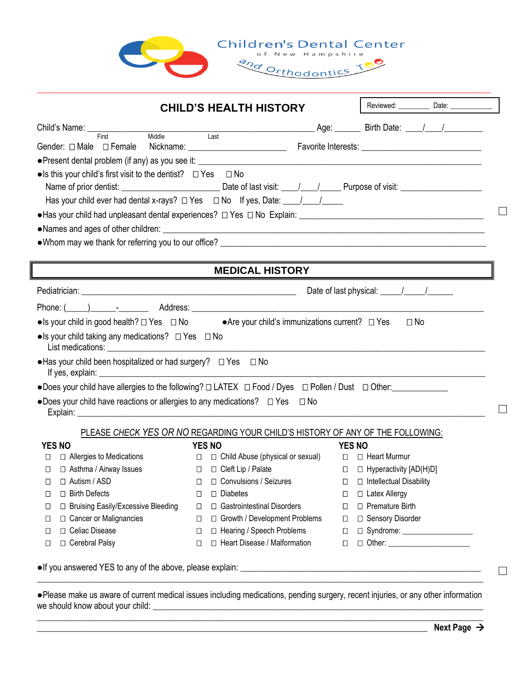



| <b>CHILD'S HEALTH HISTORY</b>                                                                                                                                                                                                                                                                                                                                           |                                                                                                                                                                                                                                |                                      |
|-------------------------------------------------------------------------------------------------------------------------------------------------------------------------------------------------------------------------------------------------------------------------------------------------------------------------------------------------------------------------|--------------------------------------------------------------------------------------------------------------------------------------------------------------------------------------------------------------------------------|--------------------------------------|
|                                                                                                                                                                                                                                                                                                                                                                         |                                                                                                                                                                                                                                |                                      |
|                                                                                                                                                                                                                                                                                                                                                                         |                                                                                                                                                                                                                                |                                      |
|                                                                                                                                                                                                                                                                                                                                                                         |                                                                                                                                                                                                                                |                                      |
| $\bullet$ Is this your child's first visit to the dentist? $\Box$ Yes $\Box$ No                                                                                                                                                                                                                                                                                         |                                                                                                                                                                                                                                |                                      |
|                                                                                                                                                                                                                                                                                                                                                                         |                                                                                                                                                                                                                                |                                      |
| Has your child ever had dental x-rays? $\Box$ Yes $\Box$ No If yes, Date: $\Box$                                                                                                                                                                                                                                                                                        |                                                                                                                                                                                                                                |                                      |
|                                                                                                                                                                                                                                                                                                                                                                         |                                                                                                                                                                                                                                |                                      |
|                                                                                                                                                                                                                                                                                                                                                                         |                                                                                                                                                                                                                                |                                      |
|                                                                                                                                                                                                                                                                                                                                                                         |                                                                                                                                                                                                                                |                                      |
|                                                                                                                                                                                                                                                                                                                                                                         |                                                                                                                                                                                                                                |                                      |
|                                                                                                                                                                                                                                                                                                                                                                         |                                                                                                                                                                                                                                |                                      |
|                                                                                                                                                                                                                                                                                                                                                                         | <b>MEDICAL HISTORY</b>                                                                                                                                                                                                         |                                      |
|                                                                                                                                                                                                                                                                                                                                                                         |                                                                                                                                                                                                                                | Date of last physical: \[\sqrtdgg \] |
|                                                                                                                                                                                                                                                                                                                                                                         |                                                                                                                                                                                                                                |                                      |
|                                                                                                                                                                                                                                                                                                                                                                         |                                                                                                                                                                                                                                |                                      |
|                                                                                                                                                                                                                                                                                                                                                                         |                                                                                                                                                                                                                                | $\square$ No                         |
|                                                                                                                                                                                                                                                                                                                                                                         |                                                                                                                                                                                                                                |                                      |
|                                                                                                                                                                                                                                                                                                                                                                         | List medications: List medications: List medications: List medications: List medications: List medications: List medications: List medications: List medications: List medications: List medications: List medications: List m |                                      |
|                                                                                                                                                                                                                                                                                                                                                                         |                                                                                                                                                                                                                                |                                      |
|                                                                                                                                                                                                                                                                                                                                                                         |                                                                                                                                                                                                                                |                                      |
|                                                                                                                                                                                                                                                                                                                                                                         |                                                                                                                                                                                                                                |                                      |
|                                                                                                                                                                                                                                                                                                                                                                         |                                                                                                                                                                                                                                |                                      |
|                                                                                                                                                                                                                                                                                                                                                                         |                                                                                                                                                                                                                                |                                      |
|                                                                                                                                                                                                                                                                                                                                                                         | PLEASE CHECK YES OR NO REGARDING YOUR CHILD'S HISTORY OF ANY OF THE FOLLOWING:                                                                                                                                                 |                                      |
| <b>YES NO</b><br>$\Box$                                                                                                                                                                                                                                                                                                                                                 | YES NO                                                                                                                                                                                                                         | <b>YES NO</b>                        |
| $\Box$ Allergies to Medications<br>$\Box$                                                                                                                                                                                                                                                                                                                               | □ □ Child Abuse (physical or sexual) □ □ Heart Murmur                                                                                                                                                                          |                                      |
| □ Asthma / Airway Issues                                                                                                                                                                                                                                                                                                                                                | □ □ Cleft Lip / Palate                                                                                                                                                                                                         | □ □ Hyperactivity [AD(H)D]           |
| $\Box$<br>□ Birth Defects<br>$\Box$                                                                                                                                                                                                                                                                                                                                     | □ Autism / ASD □ □ □ Convulsions / Seizures □ □ □ Intellectual Disability<br>$\Box$ Diabetes<br>□                                                                                                                              | □ Latex Allergy<br>□                 |
| □ Bruising Easily/Excessive Bleeding<br>□                                                                                                                                                                                                                                                                                                                               | □ Gastrointestinal Disorders<br>□                                                                                                                                                                                              | □ Premature Birth<br>О               |
| □ Cancer or Malignancies<br>⊔                                                                                                                                                                                                                                                                                                                                           | □ Growth / Development Problems<br>□                                                                                                                                                                                           | □ Sensory Disorder<br>□              |
| • Is your child in good health? $\Box$ Yes $\Box$ No • Are your child's immunizations current? $\Box$ Yes<br>• Is your child taking any medications? $\Box$ Yes $\Box$ No<br>• Has your child been hospitalized or had surgery? $\Box$ Yes $\Box$ No<br>• Does your child have reactions or allergies to any medications? $\Box$ Yes $\Box$ No<br>□ Celiac Disease<br>□ | □ Hearing / Speech Problems<br>□                                                                                                                                                                                               | □                                    |

●Please make us aware of current medical issues including medications, pending surgery, recent injuries, or any other information we should know about your child: \_\_\_\_\_\_\_\_\_\_\_\_\_\_\_\_\_\_\_\_\_\_\_\_\_\_\_\_\_\_\_\_\_\_\_\_\_\_\_\_\_\_\_\_\_\_\_\_\_\_\_\_\_\_\_\_\_\_\_\_\_\_\_\_\_\_\_\_\_\_\_\_\_\_\_\_\_\_\_\_\_\_\_\_\_\_\_\_\_\_\_\_\_\_\_\_\_\_\_\_\_\_\_\_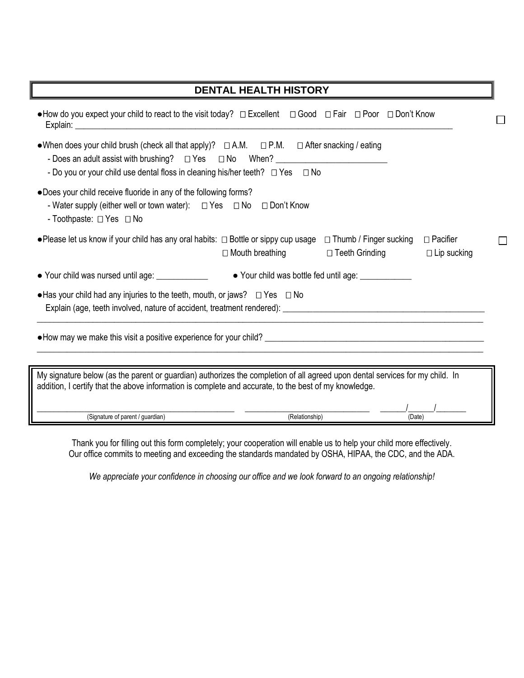| <b>DENTAL HEALTH HISTORY</b>                                                                                                                                                                                                          |
|---------------------------------------------------------------------------------------------------------------------------------------------------------------------------------------------------------------------------------------|
|                                                                                                                                                                                                                                       |
| • When does your child brush (check all that apply)? $\Box$ A.M. $\Box$ P.M. $\Box$ After snacking / eating<br>- Do you or your child use dental floss in cleaning his/her teeth? $\Box$ Yes $\Box$ No                                |
| .Does your child receive fluoride in any of the following forms?<br>- Water supply (either well or town water): $\Box$ Yes $\Box$ No $\Box$ Don't Know<br>- Toothpaste: □ Yes □ No                                                    |
| • Please let us know if your child has any oral habits: $\Box$ Bottle or sippy cup usage $\Box$ Thumb / Finger sucking<br>$\Box$ Pacifier<br>□ Mouth breathing □ Teeth Grinding<br>$\Box$ Lip sucking                                 |
| • Your child was nursed until age: _____________<br>• Your child was bottle fed until age:                                                                                                                                            |
| • Has your child had any injuries to the teeth, mouth, or jaws? $\Box$ Yes $\Box$ No                                                                                                                                                  |
|                                                                                                                                                                                                                                       |
| My signature below (as the parent or guardian) authorizes the completion of all agreed upon dental services for my child. In<br>addition, I certify that the above information is complete and accurate, to the best of my knowledge. |
| (Signature of parent / guardian)<br>(Relationship)<br>(Date)                                                                                                                                                                          |

Thank you for filling out this form completely; your cooperation will enable us to help your child more effectively. Our office commits to meeting and exceeding the standards mandated by OSHA, HIPAA, the CDC, and the ADA.

*We appreciate your confidence in choosing our office and we look forward to an ongoing relationship!*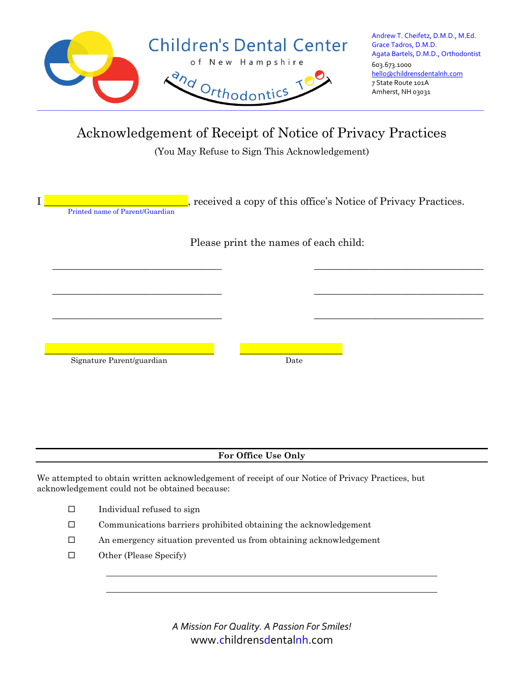

Acknowledgement of Receipt of Notice of Privacy Practices

(You May Refuse to Sign This Acknowledgement)

| $\mathbf I$<br>Printed name of Parent/Guardian | received a copy of this office's Notice of Privacy Practices. |  |  |  |  |  |  |
|------------------------------------------------|---------------------------------------------------------------|--|--|--|--|--|--|
|                                                | Please print the names of each child:                         |  |  |  |  |  |  |
|                                                |                                                               |  |  |  |  |  |  |
|                                                |                                                               |  |  |  |  |  |  |
| Signature Parent/guardian                      | Date                                                          |  |  |  |  |  |  |
|                                                |                                                               |  |  |  |  |  |  |
|                                                |                                                               |  |  |  |  |  |  |
| For Office Use Only                            |                                                               |  |  |  |  |  |  |

We attempted to obtain written acknowledgement of receipt of our Notice of Privacy Practices, but acknowledgement could not be obtained because:

- $\square$  Individual refused to sign
- $\square$  Communications barriers prohibited obtaining the acknowledgement
- An emergency situation prevented us from obtaining acknowledgement
- Other (Please Specify)

*A Mission For Quality. A Passion For Smiles!* www.childrensdentalnh.com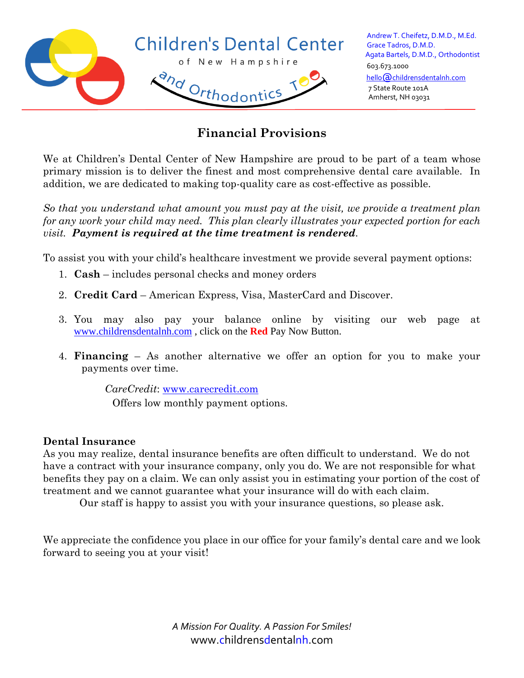

# **Financial Provisions**

We at Children's Dental Center of New Hampshire are proud to be part of a team whose primary mission is to deliver the finest and most comprehensive dental care available. In addition, we are dedicated to making top-quality care as cost-effective as possible.

*So that you understand what amount you must pay at the visit, we provide a treatment plan for any work your child may need. This plan clearly illustrates your expected portion for each visit. Payment is required at the time treatment is rendered.* 

To assist you with your child's healthcare investment we provide several payment options:

- 1. **Cash** includes personal checks and money orders
- 2. **Credit Card** American Express, Visa, MasterCard and Discover.
- 3. You may also pay your balance online by visiting our web page at [www.childrensdentalnh.com](file://///server2020/CDC%20Docs/Office%20Mgr/Lost%20Files%20(Delete%20if%20not%20used)%201-2020/www.childrensdentalnh.com) , click on the **Red** Pay Now Button.
- 4. **Financing** As another alternative we offer an option for you to make your payments over time.

*CareCredit*: [www.carecredit.com](http://www.carecredit.com/)

Offers low monthly payment options.

#### **Dental Insurance**

As you may realize, dental insurance benefits are often difficult to understand. We do not have a contract with your insurance company, only you do. We are not responsible for what benefits they pay on a claim. We can only assist you in estimating your portion of the cost of treatment and we cannot guarantee what your insurance will do with each claim.

Our staff is happy to assist you with your insurance questions, so please ask.

We appreciate the confidence you place in our office for your family's dental care and we look forward to seeing you at your visit!

> *A Mission For Quality. A Passion For Smiles!* www.childrensdentalnh.com